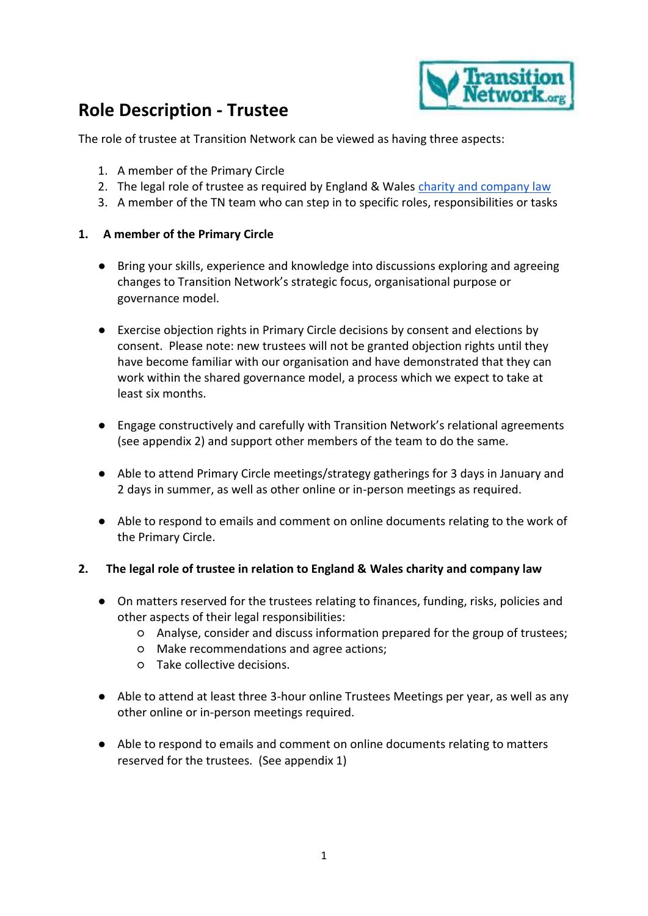

# **Role Description - Trustee**

The role of trustee at Transition Network can be viewed as having three aspects:

- 1. A member of the Primary Circle
- 2. The legal role of trustee as required by England & Wales [charity and company law](https://www.gov.uk/government/publications/the-essential-trustee-what-you-need-to-know-cc3/the-essential-trustee-what-you-need-to-know-what-you-need-to-do)
- 3. A member of the TN team who can step in to specific roles, responsibilities or tasks

#### **1. A member of the Primary Circle**

- Bring your skills, experience and knowledge into discussions exploring and agreeing changes to Transition Network's strategic focus, organisational purpose or governance model.
- Exercise objection rights in Primary Circle decisions by consent and elections by consent. Please note: new trustees will not be granted objection rights until they have become familiar with our organisation and have demonstrated that they can work within the shared governance model, a process which we expect to take at least six months.
- Engage constructively and carefully with Transition Network's relational agreements (see appendix 2) and support other members of the team to do the same.
- Able to attend Primary Circle meetings/strategy gatherings for 3 days in January and 2 days in summer, as well as other online or in-person meetings as required.
- Able to respond to emails and comment on online documents relating to the work of the Primary Circle.

#### **2. The legal role of trustee in relation to England & Wales charity and company law**

- On matters reserved for the trustees relating to finances, funding, risks, policies and other aspects of their legal responsibilities:
	- Analyse, consider and discuss information prepared for the group of trustees;
	- Make recommendations and agree actions;
	- Take collective decisions.
- Able to attend at least three 3-hour online Trustees Meetings per year, as well as any other online or in-person meetings required.
- Able to respond to emails and comment on online documents relating to matters reserved for the trustees. (See appendix 1)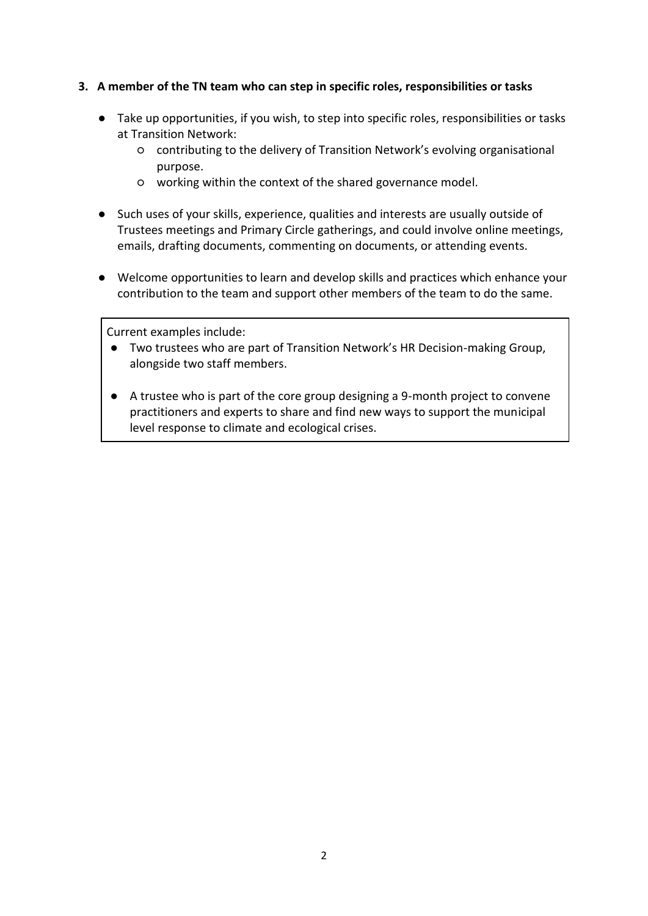#### **3. A member of the TN team who can step in specific roles, responsibilities or tasks**

- Take up opportunities, if you wish, to step into specific roles, responsibilities or tasks at Transition Network:
	- contributing to the delivery of Transition Network's evolving organisational purpose.
	- working within the context of the shared governance model.
- Such uses of your skills, experience, qualities and interests are usually outside of Trustees meetings and Primary Circle gatherings, and could involve online meetings, emails, drafting documents, commenting on documents, or attending events.
- Welcome opportunities to learn and develop skills and practices which enhance your contribution to the team and support other members of the team to do the same.

Current examples include:

- Two trustees who are part of Transition Network's HR Decision-making Group, alongside two staff members.
- A trustee who is part of the core group designing a 9-month project to convene practitioners and experts to share and find new ways to support the municipal level response to climate and ecological crises.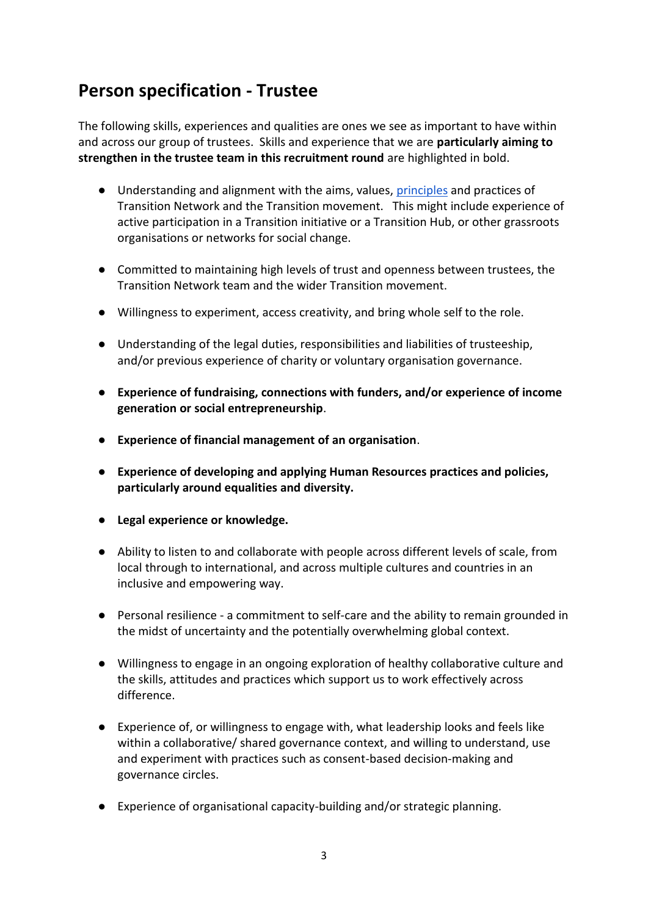## **Person specification - Trustee**

The following skills, experiences and qualities are ones we see as important to have within and across our group of trustees. Skills and experience that we are **particularly aiming to strengthen in the trustee team in this recruitment round** are highlighted in bold.

- Understanding and alignment with the aims, values, [principles](https://transitionnetwork.org/about-the-movement/what-is-transition/principles-2/) and practices of Transition Network and the Transition movement. This might include experience of active participation in a Transition initiative or a Transition Hub, or other grassroots organisations or networks for social change.
- Committed to maintaining high levels of trust and openness between trustees, the Transition Network team and the wider Transition movement.
- Willingness to experiment, access creativity, and bring whole self to the role.
- Understanding of the legal duties, responsibilities and liabilities of trusteeship, and/or previous experience of charity or voluntary organisation governance.
- **Experience of fundraising, connections with funders, and/or experience of income generation or social entrepreneurship**.
- **Experience of financial management of an organisation**.
- **Experience of developing and applying Human Resources practices and policies, particularly around equalities and diversity.**
- **Legal experience or knowledge.**
- Ability to listen to and collaborate with people across different levels of scale, from local through to international, and across multiple cultures and countries in an inclusive and empowering way.
- Personal resilience a commitment to self-care and the ability to remain grounded in the midst of uncertainty and the potentially overwhelming global context.
- Willingness to engage in an ongoing exploration of healthy collaborative culture and the skills, attitudes and practices which support us to work effectively across difference.
- Experience of, or willingness to engage with, what leadership looks and feels like within a collaborative/ shared governance context, and willing to understand, use and experiment with practices such as consent-based decision-making and governance circles.
- Experience of organisational capacity-building and/or strategic planning.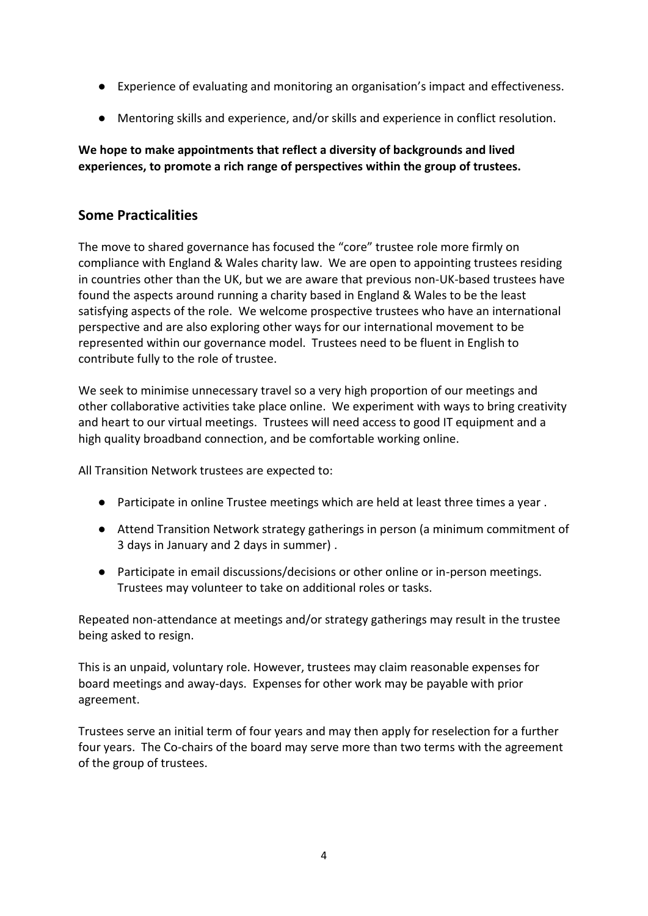- Experience of evaluating and monitoring an organisation's impact and effectiveness.
- Mentoring skills and experience, and/or skills and experience in conflict resolution.

### **We hope to make appointments that reflect a diversity of backgrounds and lived experiences, to promote a rich range of perspectives within the group of trustees.**

### **Some Practicalities**

The move to shared governance has focused the "core" trustee role more firmly on compliance with England & Wales charity law. We are open to appointing trustees residing in countries other than the UK, but we are aware that previous non-UK-based trustees have found the aspects around running a charity based in England & Wales to be the least satisfying aspects of the role. We welcome prospective trustees who have an international perspective and are also exploring other ways for our international movement to be represented within our governance model. Trustees need to be fluent in English to contribute fully to the role of trustee.

We seek to minimise unnecessary travel so a very high proportion of our meetings and other collaborative activities take place online. We experiment with ways to bring creativity and heart to our virtual meetings. Trustees will need access to good IT equipment and a high quality broadband connection, and be comfortable working online.

All Transition Network trustees are expected to:

- Participate in online Trustee meetings which are held at least three times a year.
- Attend Transition Network strategy gatherings in person (a minimum commitment of 3 days in January and 2 days in summer) .
- Participate in email discussions/decisions or other online or in-person meetings. Trustees may volunteer to take on additional roles or tasks.

Repeated non-attendance at meetings and/or strategy gatherings may result in the trustee being asked to resign.

This is an unpaid, voluntary role. However, trustees may claim reasonable expenses for board meetings and away-days. Expenses for other work may be payable with prior agreement.

Trustees serve an initial term of four years and may then apply for reselection for a further four years. The Co-chairs of the board may serve more than two terms with the agreement of the group of trustees.